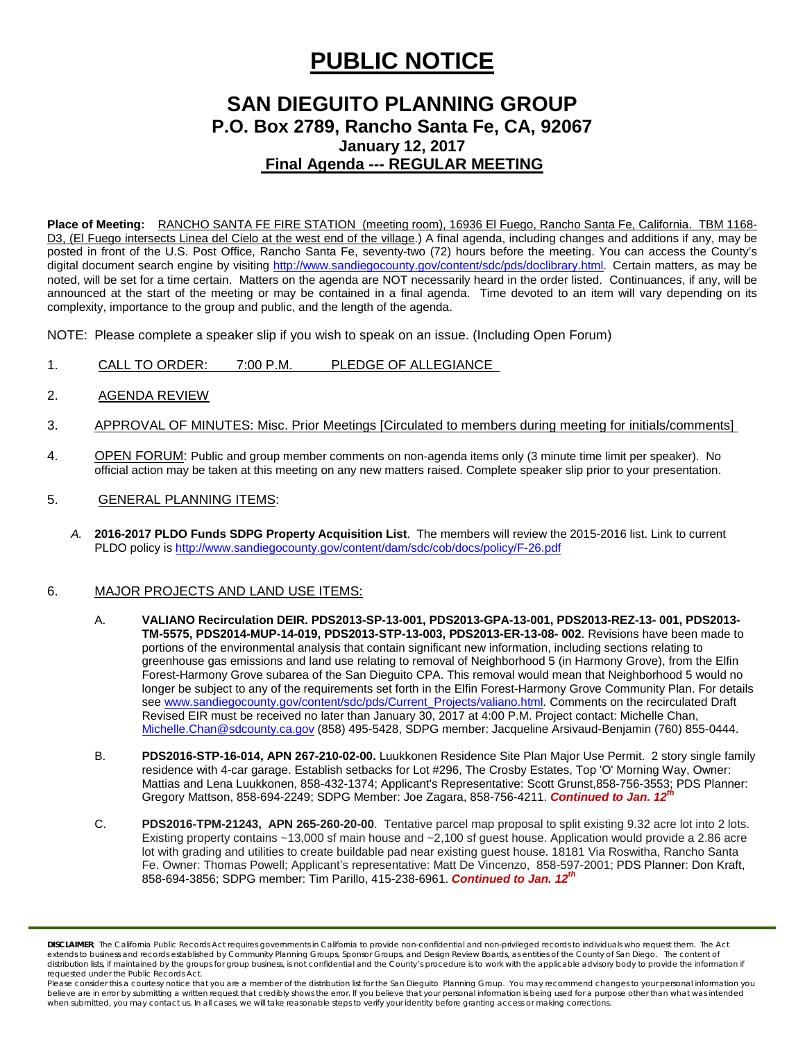# **PUBLIC NOTICE**

## **SAN DIEGUITO PLANNING GROUP P.O. Box 2789, Rancho Santa Fe, CA, 92067 January 12, 2017 Final Agenda --- REGULAR MEETING**

**Place of Meeting:** RANCHO SANTA FE FIRE STATION (meeting room), 16936 El Fuego, Rancho Santa Fe, California. TBM 1168- D3, (El Fuego intersects Linea del Cielo at the west end of the village.) A final agenda, including changes and additions if any, may be posted in front of the U.S. Post Office, Rancho Santa Fe, seventy-two (72) hours before the meeting. You can access the County's digital document search engine by visiting<http://www.sandiegocounty.gov/content/sdc/pds/doclibrary.html>. Certain matters, as may be noted, will be set for a time certain. Matters on the agenda are NOT necessarily heard in the order listed. Continuances, if any, will be announced at the start of the meeting or may be contained in a final agenda. Time devoted to an item will vary depending on its complexity, importance to the group and public, and the length of the agenda.

NOTE: Please complete a speaker slip if you wish to speak on an issue. (Including Open Forum)

- 1. CALL TO ORDER: 7:00 P.M. PLEDGE OF ALLEGIANCE
- 2. AGENDA REVIEW
- 3. APPROVAL OF MINUTES: Misc. Prior Meetings [Circulated to members during meeting for initials/comments]
- 4. OPEN FORUM: Public and group member comments on non-agenda items only (3 minute time limit per speaker). No official action may be taken at this meeting on any new matters raised. Complete speaker slip prior to your presentation.
- 5. GENERAL PLANNING ITEMS:
	- *A.* **2016-2017 PLDO Funds SDPG Property Acquisition List**. The members will review the 2015-2016 list. Link to current PLDO policy i[s http://www.sandiegocounty.gov/content/dam/sdc/cob/docs/policy/F-26.pdf](http://www.sandiegocounty.gov/content/dam/sdc/cob/docs/policy/F-26.pdf)

#### 6. MAJOR PROJECTS AND LAND USE ITEMS:

- A. **VALIANO Recirculation DEIR. PDS2013-SP-13-001, PDS2013-GPA-13-001, PDS2013-REZ-13- 001, PDS2013- TM-5575, PDS2014-MUP-14-019, PDS2013-STP-13-003, PDS2013-ER-13-08- 002**. Revisions have been made to portions of the environmental analysis that contain significant new information, including sections relating to greenhouse gas emissions and land use relating to removal of Neighborhood 5 (in Harmony Grove), from the Elfin Forest-Harmony Grove subarea of the San Dieguito CPA. This removal would mean that Neighborhood 5 would no longer be subject to any of the requirements set forth in the Elfin Forest-Harmony Grove Community Plan. For details see [www.sandiegocounty.gov/content/sdc/pds/Current\\_Projects/valiano.html.](http://www.sandiegocounty.gov/content/sdc/pds/Current_Projects/valiano.html) Comments on the recirculated Draft Revised EIR must be received no later than January 30, 2017 at 4:00 P.M. Project contact: Michelle Chan, [Michelle.Chan@sdcounty.ca.gov](mailto:Michelle.Chan@sdcounty.ca.gov) (858) 495-5428, SDPG member: Jacqueline Arsivaud-Benjamin (760) 855-0444.
- B. **PDS2016-STP-16-014, APN 267-210-02-00.** Luukkonen Residence Site Plan Major Use Permit. 2 story single family residence with 4-car garage. Establish setbacks for Lot #296, The Crosby Estates, Top 'O' Morning Way, Owner: Mattias and Lena Luukkonen, [858-432-1374;](tel:858-432-1374) Applicant's Representative: Scott Gruns[t,858-756-3553;](tel:858-756-3553) PDS Planner: Gregory Mattson, [858-694-2249;](tel:858-694-2249) SDPG Member: Joe Zagara, [858-756-4211.](tel:858-756-4211) *Continued to Jan. 12th*
- C. **PDS2016-TPM-21243, APN 265-260-20-00**. Tentative parcel map proposal to split existing 9.32 acre lot into 2 lots. Existing property contains ~13,000 sf main house and ~2,100 sf guest house. Application would provide a 2.86 acre lot with grading and utilities to create buildable pad near existing guest house. 18181 Via Roswitha, Rancho Santa Fe. Owner: Thomas Powell; Applicant's representative: Matt De Vincenzo, 858-597-2001; PDS Planner: Don Kraft, 858-694-3856; SDPG member: Tim Parillo[, 415-238-6961.](tel:415-238-6961) *Continued to Jan. 12th*

*DISCLAIMER; The California Public Records Act requires governments in California to provide non-confidential and non-privileged records to individuals who request them. The Act*  extends to business and records established by Community Planning Groups, Sponsor Groups, and Design Review Boards, as entities of the County of San Diego. The content of distribution lists, if maintained by the groups for group business, is not confidential and the County's procedure is to work with the applicable advisory body to provide the information if *requested under the Public Records Act.*

Please consider this a courtesy notice that you are a member of the distribution list for the San Dieguito Planning Group. You may recommend changes to your personal information you believe are in error by submitting a written request that credibly shows the error. If you believe that your personal information is being used for a purpose other than what was intended<br>when submitted, you may contact us.